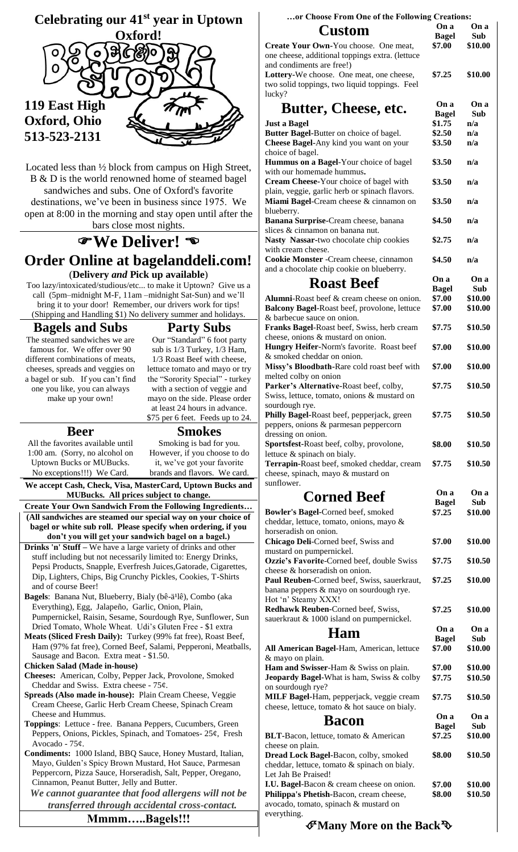

Located less than ½ block from campus on High Street, B & D is the world renowned home of steamed bagel sandwiches and subs. One of Oxford's favorite destinations, we've been in business since 1975. We open at 8:00 in the morning and stay open until after the bars close most nights.

# **We Deliver! Order Online at bagelanddeli.com!** (**Delivery** *and* **Pick up available**)

Too lazy/intoxicated/studious/etc... to make it Uptown? Give us a call (5pm–midnight M-F, 11am –midnight Sat-Sun) and we'll bring it to your door! Remember, our drivers work for tips! (Shipping and Handling \$1) No delivery summer and holidays.

#### **Bagels and Subs**

The steamed sandwiches we are famous for. We offer over 90 different combinations of meats, cheeses, spreads and veggies on a bagel or sub. If you can't find one you like, you can always make up your own!

## **Beer**

**Party Subs**

Our "Standard" 6 foot party sub is 1/3 Turkey, 1/3 Ham, 1/3 Roast Beef with cheese, lettuce tomato and mayo or try the "Sorority Special" - turkey with a section of veggie and mayo on the side. Please order at least 24 hours in advance. \$75 per 6 feet. Feeds up to 24.

All the favorites available until 1:00 am. (Sorry, no alcohol on Uptown Bucks or MUBucks.

No exceptions!!!) We Card.

**Smokes** Smoking is bad for you. However, if you choose to do it, we've got your favorite brands and flavors. We card.

**We accept Cash, Check, Visa, MasterCard, Uptown Bucks and MUBucks. All prices subject to change.** 

- **Create Your Own Sandwich From the Following Ingredients… (All sandwiches are steamed our special way on your choice of bagel or white sub roll. Please specify when ordering, if you don't you will get your sandwich bagel on a bagel.)**
- **Drinks 'n' Stuff –** We have a large variety of drinks and other stuff including but not necessarily limited to: Energy Drinks, Pepsi Products, Snapple, Everfresh Juices,Gatorade, Cigarettes, Dip, Lighters, Chips, Big Crunchy Pickles, Cookies, T-Shirts and of course Beer!
- Bagels: Banana Nut, Blueberry, Bialy (bê-ä<sup>1</sup>lê), Combo (aka Everything), Egg, Jalapeño, Garlic, Onion, Plain, Pumpernickel, Raisin, Sesame, Sourdough Rye, Sunflower, Sun Dried Tomato, Whole Wheat. Udi's Gluten Free - \$1 extra
- **Meats (Sliced Fresh Daily):** Turkey (99% fat free), Roast Beef, Ham (97% fat free), Corned Beef, Salami, Pepperoni, Meatballs, Sausage and Bacon. Extra meat - \$1.50.

**Chicken Salad (Made in-house)**

- **Cheeses:** American, Colby, Pepper Jack, Provolone, Smoked Cheddar and Swiss. Extra cheese - 75¢.
- **Spreads (Also made in-house):** Plain Cream Cheese, Veggie Cream Cheese, Garlic Herb Cream Cheese, Spinach Cream Cheese and Hummus.
- **Toppings**: Lettuce free. Banana Peppers, Cucumbers, Green Peppers, Onions, Pickles, Spinach, and Tomatoes- 25¢, Fresh Avocado - 75¢.

**Condiments:** 1000 Island, BBQ Sauce, Honey Mustard, Italian, Mayo, Gulden's Spicy Brown Mustard, Hot Sauce, Parmesan Peppercorn, Pizza Sauce, Horseradish, Salt, Pepper, Oregano, Cinnamon, Peanut Butter, Jelly and Butter.

*We cannot guarantee that food allergens will not be transferred through accidental cross-contact.*

#### **Mmmm…..Bagels!!!**

| or Choose From One of the Following Creations:                                           |                      |             |  |  |  |
|------------------------------------------------------------------------------------------|----------------------|-------------|--|--|--|
| <b>Custom</b>                                                                            | On a                 | On a        |  |  |  |
|                                                                                          | <b>Bagel</b>         | Sub         |  |  |  |
| Create Your Own-You choose. One meat,                                                    | \$7.00               | \$10.00     |  |  |  |
| one cheese, additional toppings extra. (lettuce<br>and condiments are free!)             |                      |             |  |  |  |
| Lottery-We choose. One meat, one cheese,                                                 | \$7.25               | \$10.00     |  |  |  |
| two solid toppings, two liquid toppings. Feel                                            |                      |             |  |  |  |
| lucky?                                                                                   |                      |             |  |  |  |
|                                                                                          | On a                 | On a        |  |  |  |
| Butter, Cheese, etc.                                                                     | <b>Bagel</b>         | Sub         |  |  |  |
| Just a Bagel                                                                             | \$1.75               | n/a         |  |  |  |
| Butter Bagel-Butter on choice of bagel.                                                  | \$2.50               | n/a         |  |  |  |
| Cheese Bagel-Any kind you want on your                                                   | \$3.50               | n/a         |  |  |  |
| choice of bagel.                                                                         |                      |             |  |  |  |
| Hummus on a Bagel-Your choice of bagel                                                   | \$3.50               | n/a         |  |  |  |
| with our homemade hummus.                                                                |                      |             |  |  |  |
| Cream Cheese-Your choice of bagel with                                                   | \$3.50               | n/a         |  |  |  |
| plain, veggie, garlic herb or spinach flavors.<br>Miami Bagel-Cream cheese & cinnamon on | \$3.50               | n/a         |  |  |  |
| blueberry.                                                                               |                      |             |  |  |  |
| Banana Surprise-Cream cheese, banana                                                     | \$4.50               | n/a         |  |  |  |
| slices & cinnamon on banana nut.                                                         |                      |             |  |  |  |
| Nasty Nassar-two chocolate chip cookies                                                  | \$2.75               | n/a         |  |  |  |
| with cream cheese.                                                                       |                      |             |  |  |  |
| Cookie Monster - Cream cheese, cinnamon                                                  | \$4.50               | n/a         |  |  |  |
| and a chocolate chip cookie on blueberry.                                                |                      |             |  |  |  |
| <b>Roast Beef</b>                                                                        | On a                 | On a        |  |  |  |
|                                                                                          | <b>Bagel</b>         | Sub         |  |  |  |
| Alumni-Roast beef & cream cheese on onion.                                               | \$7.00               | \$10.00     |  |  |  |
| Balcony Bagel-Roast beef, provolone, lettuce                                             | \$7.00               | \$10.00     |  |  |  |
| & barbecue sauce on onion.                                                               |                      |             |  |  |  |
| Franks Bagel-Roast beef, Swiss, herb cream                                               | \$7.75               | \$10.50     |  |  |  |
| cheese, onions & mustard on onion.<br>Hungry Heifer-Norm's favorite. Roast beef          | \$7.00               |             |  |  |  |
| & smoked cheddar on onion.                                                               |                      | \$10.00     |  |  |  |
| Missy's Bloodbath-Rare cold roast beef with                                              | \$7.00               | \$10.00     |  |  |  |
| melted colby on onion                                                                    |                      |             |  |  |  |
| Parker's Alternative-Roast beef, colby,                                                  | \$7.75               | \$10.50     |  |  |  |
| Swiss, lettuce, tomato, onions & mustard on                                              |                      |             |  |  |  |
| sourdough rye.                                                                           |                      |             |  |  |  |
| Philly Bagel-Roast beef, pepperjack, green                                               | \$7.75               | \$10.50     |  |  |  |
| peppers, onions & parmesan peppercorn                                                    |                      |             |  |  |  |
| dressing on onion.                                                                       |                      |             |  |  |  |
| Sportsfest-Roast beef, colby, provolone,                                                 | \$8.00               | \$10.50     |  |  |  |
| lettuce & spinach on bialy.                                                              |                      |             |  |  |  |
| Terrapin-Roast beef, smoked cheddar, cream                                               | \$7.75               | \$10.50     |  |  |  |
| cheese, spinach, mayo & mustard on                                                       |                      |             |  |  |  |
| sunflower.                                                                               |                      |             |  |  |  |
| <b>Corned Beef</b>                                                                       | On a<br><b>Bagel</b> | On a<br>Sub |  |  |  |
| Bowler's Bagel-Corned beef, smoked                                                       | \$7.25               | \$10.00     |  |  |  |
| cheddar, lettuce, tomato, onions, mayo &                                                 |                      |             |  |  |  |
| horseradish on onion.                                                                    |                      |             |  |  |  |
| Chicago Deli-Corned beef, Swiss and                                                      | \$7.00               | \$10.00     |  |  |  |
| mustard on pumpernickel.                                                                 |                      |             |  |  |  |
| Ozzie's Favorite-Corned beef, double Swiss                                               | \$7.75               | \$10.50     |  |  |  |
| cheese & horseradish on onion.                                                           |                      |             |  |  |  |
| Paul Reuben-Corned beef, Swiss, sauerkraut,                                              | \$7.25               | \$10.00     |  |  |  |
| banana peppers & mayo on sourdough rye.                                                  |                      |             |  |  |  |
| Hot 'n' Steamy XXX!                                                                      |                      |             |  |  |  |
| Redhawk Reuben-Corned beef, Swiss,                                                       | \$7.25               | \$10.00     |  |  |  |
| sauerkraut & 1000 island on pumpernickel.                                                |                      |             |  |  |  |
| Ham                                                                                      | On a<br><b>Bagel</b> | On a<br>Sub |  |  |  |
| All American Bagel-Ham, American, lettuce                                                | \$7.00               | \$10.00     |  |  |  |
| & mayo on plain.                                                                         |                      |             |  |  |  |
| Ham and Swisser-Ham & Swiss on plain.                                                    | \$7.00               | \$10.00     |  |  |  |
| <b>Jeopardy Bagel-What is ham, Swiss &amp; colby</b>                                     | \$7.75               | \$10.50     |  |  |  |

**Bacon On a** 

**MILF Bagel-**Ham, pepperjack, veggie cream cheese, lettuce, tomato & hot sauce on bialy.

on sourdough rye?

| Dacun                                            | <b>Bagel</b> | Sub     |  |
|--------------------------------------------------|--------------|---------|--|
| <b>BLT-Bacon, lettuce, tomato &amp; American</b> | \$7.25       | \$10.00 |  |
| cheese on plain.                                 |              |         |  |
| <b>Dread Lock Bagel-Bacon, colby, smoked</b>     | \$8.00       | \$10.50 |  |
| cheddar, lettuce, tomato & spinach on bialy.     |              |         |  |
| Let Jah Be Praised!                              |              |         |  |
| I.U. Bagel-Bacon & cream cheese on onion.        | \$7.00       | \$10.00 |  |
| Philippa's Phetish-Bacon, cream cheese,          | \$8.00       | \$10.50 |  |
| avocado, tomato, spinach & mustard on            |              |         |  |
| everything.                                      |              |         |  |

**\$7.75 \$10.50**

**On a** 

## **Many More on the Back**